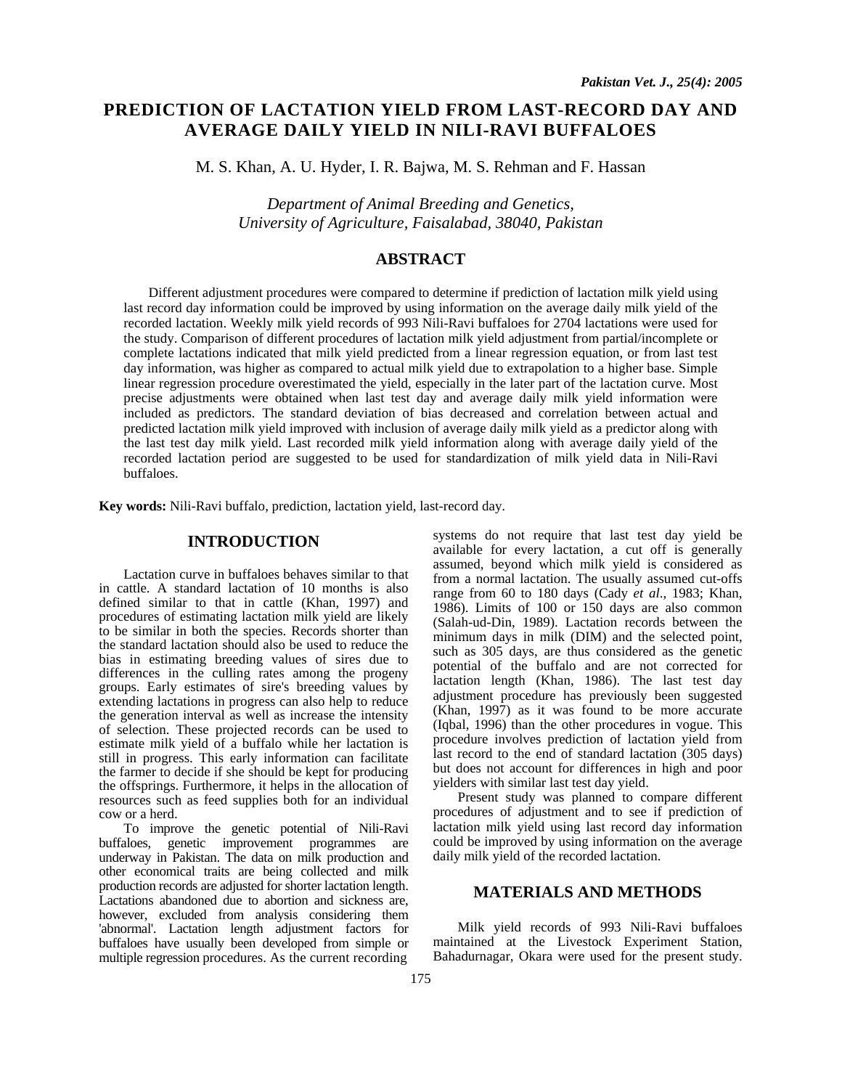# **PREDICTION OF LACTATION YIELD FROM LAST-RECORD DAY AND AVERAGE DAILY YIELD IN NILI-RAVI BUFFALOES**

M. S. Khan, A. U. Hyder, I. R. Bajwa, M. S. Rehman and F. Hassan

*Department of Animal Breeding and Genetics, University of Agriculture, Faisalabad, 38040, Pakistan* 

# **ABSTRACT**

Different adjustment procedures were compared to determine if prediction of lactation milk yield using last record day information could be improved by using information on the average daily milk yield of the recorded lactation. Weekly milk yield records of 993 Nili-Ravi buffaloes for 2704 lactations were used for the study. Comparison of different procedures of lactation milk yield adjustment from partial/incomplete or complete lactations indicated that milk yield predicted from a linear regression equation, or from last test day information, was higher as compared to actual milk yield due to extrapolation to a higher base. Simple linear regression procedure overestimated the yield, especially in the later part of the lactation curve. Most precise adjustments were obtained when last test day and average daily milk yield information were included as predictors. The standard deviation of bias decreased and correlation between actual and predicted lactation milk yield improved with inclusion of average daily milk yield as a predictor along with the last test day milk yield. Last recorded milk yield information along with average daily yield of the recorded lactation period are suggested to be used for standardization of milk yield data in Nili-Ravi buffaloes.

**Key words:** Nili-Ravi buffalo, prediction, lactation yield, last-record day.

#### **INTRODUCTION**

Lactation curve in buffaloes behaves similar to that in cattle. A standard lactation of 10 months is also defined similar to that in cattle (Khan, 1997) and procedures of estimating lactation milk yield are likely to be similar in both the species. Records shorter than the standard lactation should also be used to reduce the bias in estimating breeding values of sires due to differences in the culling rates among the progeny groups. Early estimates of sire's breeding values by extending lactations in progress can also help to reduce the generation interval as well as increase the intensity of selection. These projected records can be used to estimate milk yield of a buffalo while her lactation is still in progress. This early information can facilitate the farmer to decide if she should be kept for producing the offsprings. Furthermore, it helps in the allocation of resources such as feed supplies both for an individual cow or a herd.

To improve the genetic potential of Nili-Ravi buffaloes, genetic improvement programmes are underway in Pakistan. The data on milk production and other economical traits are being collected and milk production records are adjusted for shorter lactation length. Lactations abandoned due to abortion and sickness are, however, excluded from analysis considering them 'abnormal'. Lactation length adjustment factors for buffaloes have usually been developed from simple or multiple regression procedures. As the current recording

systems do not require that last test day yield be available for every lactation, a cut off is generally assumed, beyond which milk yield is considered as from a normal lactation. The usually assumed cut-offs range from 60 to 180 days (Cady *et al*., 1983; Khan, 1986). Limits of 100 or 150 days are also common (Salah-ud-Din, 1989). Lactation records between the minimum days in milk (DIM) and the selected point, such as 305 days, are thus considered as the genetic potential of the buffalo and are not corrected for lactation length (Khan, 1986). The last test day adjustment procedure has previously been suggested (Khan, 1997) as it was found to be more accurate (Iqbal, 1996) than the other procedures in vogue. This procedure involves prediction of lactation yield from last record to the end of standard lactation (305 days) but does not account for differences in high and poor yielders with similar last test day yield.

Present study was planned to compare different procedures of adjustment and to see if prediction of lactation milk yield using last record day information could be improved by using information on the average daily milk yield of the recorded lactation.

## **MATERIALS AND METHODS**

Milk yield records of 993 Nili-Ravi buffaloes maintained at the Livestock Experiment Station, Bahadurnagar, Okara were used for the present study.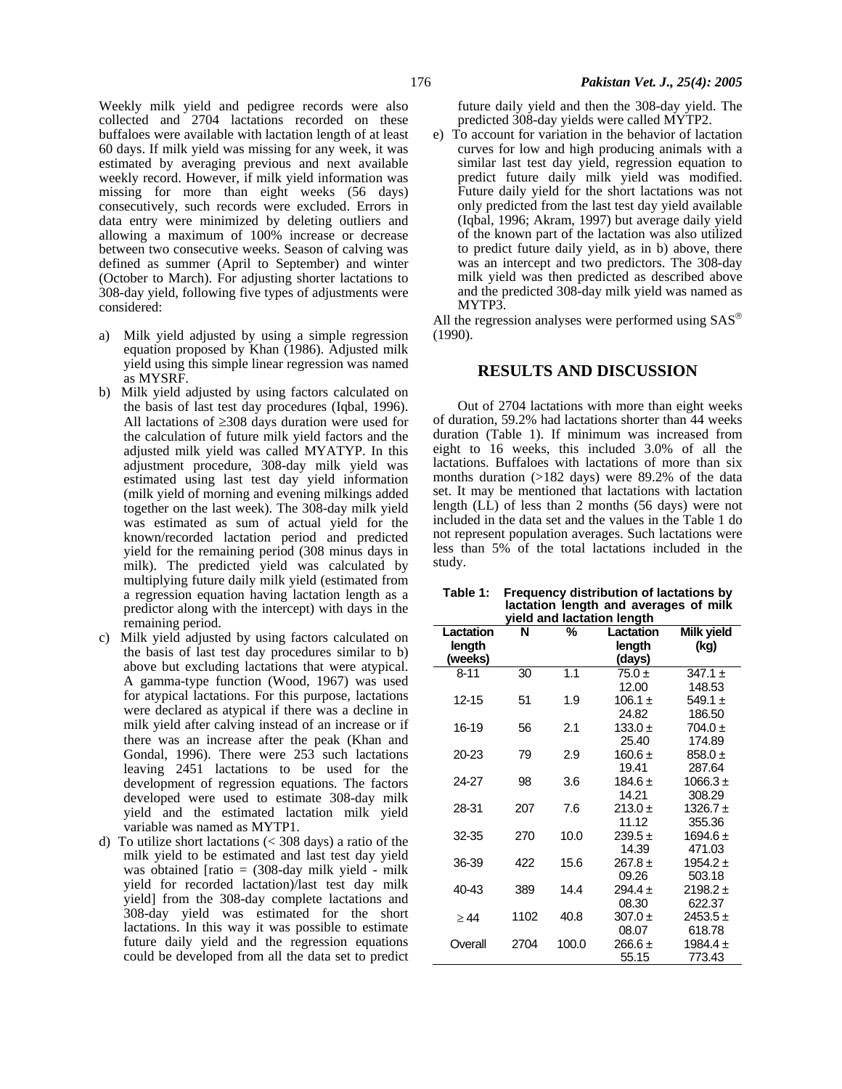Weekly milk yield and pedigree records were also collected and 2704 lactations recorded on these buffaloes were available with lactation length of at least 60 days. If milk yield was missing for any week, it was estimated by averaging previous and next available weekly record. However, if milk yield information was missing for more than eight weeks (56 days) consecutively, such records were excluded. Errors in data entry were minimized by deleting outliers and allowing a maximum of 100% increase or decrease between two consecutive weeks. Season of calving was defined as summer (April to September) and winter (October to March). For adjusting shorter lactations to 308-day yield, following five types of adjustments were considered:

- a) Milk yield adjusted by using a simple regression equation proposed by Khan (1986). Adjusted milk yield using this simple linear regression was named as MYSRF.
- b) Milk yield adjusted by using factors calculated on the basis of last test day procedures (Iqbal, 1996). All lactations of ≥308 days duration were used for the calculation of future milk yield factors and the adjusted milk yield was called MYATYP. In this adjustment procedure, 308-day milk yield was estimated using last test day yield information (milk yield of morning and evening milkings added together on the last week). The 308-day milk yield was estimated as sum of actual yield for the known/recorded lactation period and predicted yield for the remaining period (308 minus days in milk). The predicted yield was calculated by multiplying future daily milk yield (estimated from a regression equation having lactation length as a predictor along with the intercept) with days in the remaining period.
- c) Milk yield adjusted by using factors calculated on the basis of last test day procedures similar to b) above but excluding lactations that were atypical. A gamma-type function (Wood, 1967) was used for atypical lactations. For this purpose, lactations were declared as atypical if there was a decline in milk yield after calving instead of an increase or if there was an increase after the peak (Khan and Gondal, 1996). There were 253 such lactations leaving 2451 lactations to be used for the development of regression equations. The factors developed were used to estimate 308-day milk yield and the estimated lactation milk yield variable was named as MYTP1.
- d) To utilize short lactations (< 308 days) a ratio of the milk yield to be estimated and last test day yield was obtained [ratio  $= (308$ -day milk yield - milk yield for recorded lactation)/last test day milk yield] from the 308-day complete lactations and 308-day yield was estimated for the short lactations. In this way it was possible to estimate future daily yield and the regression equations could be developed from all the data set to predict

future daily yield and then the 308-day yield. The predicted 308-day yields were called MYTP2.

e) To account for variation in the behavior of lactation curves for low and high producing animals with a similar last test day yield, regression equation to predict future daily milk yield was modified. Future daily yield for the short lactations was not only predicted from the last test day yield available (Iqbal, 1996; Akram, 1997) but average daily yield of the known part of the lactation was also utilized to predict future daily yield, as in b) above, there was an intercept and two predictors. The 308-day milk yield was then predicted as described above and the predicted 308-day milk yield was named as MYTP3.

All the regression analyses were performed using SAS® (1990).

### **RESULTS AND DISCUSSION**

Out of 2704 lactations with more than eight weeks of duration, 59.2% had lactations shorter than 44 weeks duration (Table 1). If minimum was increased from eight to 16 weeks, this included 3.0% of all the lactations. Buffaloes with lactations of more than six months duration (>182 days) were 89.2% of the data set. It may be mentioned that lactations with lactation length (LL) of less than 2 months (56 days) were not included in the data set and the values in the Table 1 do not represent population averages. Such lactations were less than 5% of the total lactations included in the study.

| Table 1: | <b>Frequency distribution of lactations by</b> |  |  |  |  |  |
|----------|------------------------------------------------|--|--|--|--|--|
|          | lactation length and averages of milk          |  |  |  |  |  |
|          | yield and lactation length                     |  |  |  |  |  |

| Lactation | N    | %     | Milk yield<br>Lactation |              |
|-----------|------|-------|-------------------------|--------------|
| length    |      |       | length                  | (kg)         |
| (weeks)   |      |       | (days)                  |              |
| $8 - 11$  | 30   | 1.1   | $75.0 \pm$              | 347.1 $\pm$  |
|           |      |       | 12.00                   | 148.53       |
| 12-15     | 51   | 1.9   | $106.1 \pm$             | $549.1 \pm$  |
|           |      |       | 24.82                   | 186.50       |
| 16-19     | 56   | 2.1   | $133.0 \pm$             | $704.0 \pm$  |
|           |      |       | 25.40                   | 174.89       |
| 20-23     | 79   | 2.9   | $160.6 \pm$             | $858.0 +$    |
|           |      |       | 19.41                   | 287.64       |
| 24-27     | 98   | 3.6   | 184.6 $\pm$             | 1066.3 $\pm$ |
|           |      |       | 14.21                   | 308.29       |
| 28-31     | 207  | 7.6   | $213.0 \pm$             | 1326.7 $\pm$ |
|           |      |       | 11.12                   | 355.36       |
| 32-35     | 270  | 10.0  | $239.5 +$               | 1694.6 $\pm$ |
|           |      |       | 14.39                   | 471.03       |
| 36-39     | 422  | 15.6  | $267.8 \pm$             | $1954.2 \pm$ |
|           |      |       | 09.26                   | 503.18       |
| 40-43     | 389  | 14.4  | 294.4 $\pm$             | $2198.2 \pm$ |
|           |      |       | 08.30                   | 622.37       |
| > 44      | 1102 | 40.8  | $307.0 \pm$             | $2453.5 +$   |
|           |      |       | 08.07                   | 618.78       |
| Overall   | 2704 | 100.0 | $266.6 \pm$             | 1984.4 ±     |
|           |      |       | 55.15                   | 773.43       |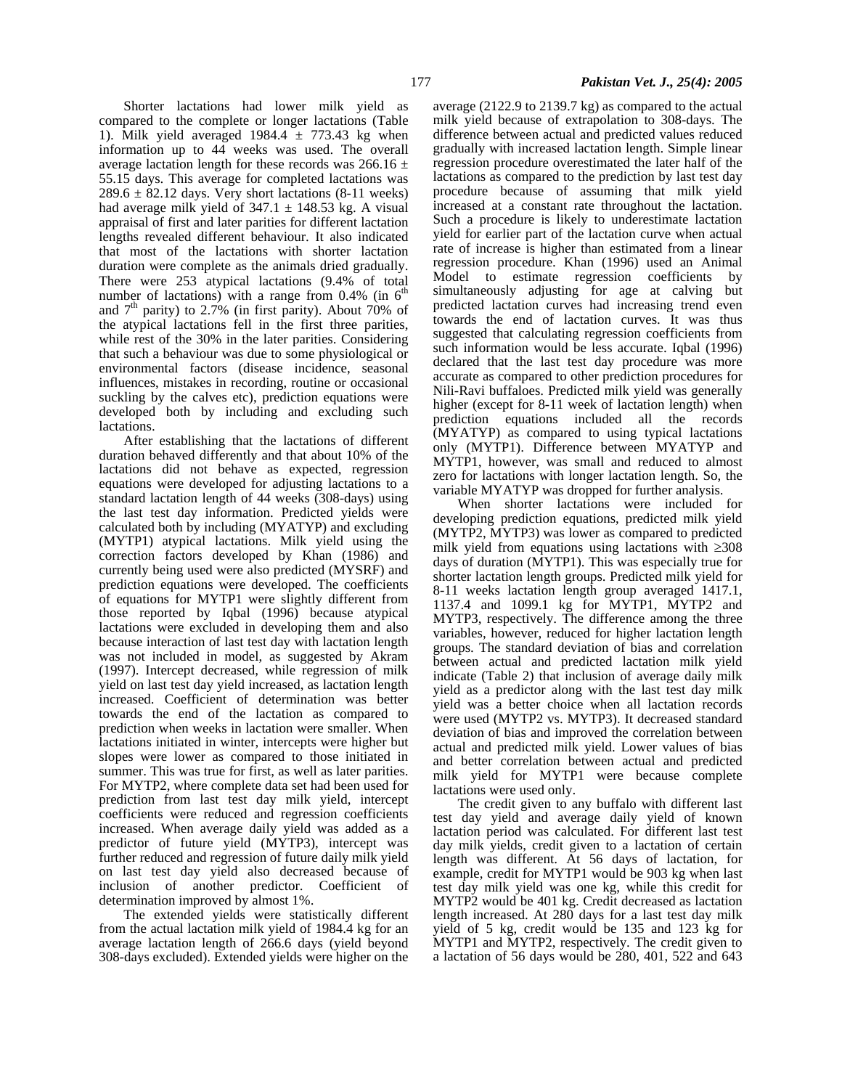Shorter lactations had lower milk yield as compared to the complete or longer lactations (Table 1). Milk yield averaged  $1984.4 \pm 773.43$  kg when information up to 44 weeks was used. The overall average lactation length for these records was  $266.16 \pm$ 55.15 days. This average for completed lactations was  $289.6 \pm 82.12$  days. Very short lactations (8-11 weeks) had average milk yield of  $347.1 \pm 148.53$  kg. A visual appraisal of first and later parities for different lactation lengths revealed different behaviour. It also indicated that most of the lactations with shorter lactation duration were complete as the animals dried gradually. There were 253 atypical lactations (9.4% of total number of lactations) with a range from  $0.4\%$  (in 6<sup>th</sup>) and  $7<sup>th</sup>$  parity) to 2.7% (in first parity). About 70% of the atypical lactations fell in the first three parities, while rest of the 30% in the later parities. Considering that such a behaviour was due to some physiological or environmental factors (disease incidence, seasonal influences, mistakes in recording, routine or occasional suckling by the calves etc), prediction equations were developed both by including and excluding such lactations.

After establishing that the lactations of different duration behaved differently and that about 10% of the lactations did not behave as expected, regression equations were developed for adjusting lactations to a standard lactation length of 44 weeks (308-days) using the last test day information. Predicted yields were calculated both by including (MYATYP) and excluding (MYTP1) atypical lactations. Milk yield using the correction factors developed by Khan (1986) and currently being used were also predicted (MYSRF) and prediction equations were developed. The coefficients of equations for MYTP1 were slightly different from those reported by Iqbal (1996) because atypical lactations were excluded in developing them and also because interaction of last test day with lactation length was not included in model, as suggested by Akram (1997). Intercept decreased, while regression of milk yield on last test day yield increased, as lactation length increased. Coefficient of determination was better towards the end of the lactation as compared to prediction when weeks in lactation were smaller. When lactations initiated in winter, intercepts were higher but slopes were lower as compared to those initiated in summer. This was true for first, as well as later parities. For MYTP2, where complete data set had been used for prediction from last test day milk yield, intercept coefficients were reduced and regression coefficients increased. When average daily yield was added as a predictor of future yield (MYTP3), intercept was further reduced and regression of future daily milk yield on last test day yield also decreased because of inclusion of another predictor. Coefficient of determination improved by almost 1%.

The extended yields were statistically different from the actual lactation milk yield of 1984.4 kg for an average lactation length of 266.6 days (yield beyond 308-days excluded). Extended yields were higher on the

average (2122.9 to 2139.7 kg) as compared to the actual milk yield because of extrapolation to 308-days. The difference between actual and predicted values reduced gradually with increased lactation length. Simple linear regression procedure overestimated the later half of the lactations as compared to the prediction by last test day procedure because of assuming that milk yield increased at a constant rate throughout the lactation. Such a procedure is likely to underestimate lactation yield for earlier part of the lactation curve when actual rate of increase is higher than estimated from a linear regression procedure. Khan (1996) used an Animal Model to estimate regression coefficients by simultaneously adjusting for age at calving but predicted lactation curves had increasing trend even towards the end of lactation curves. It was thus suggested that calculating regression coefficients from such information would be less accurate. Iqbal (1996) declared that the last test day procedure was more accurate as compared to other prediction procedures for Nili-Ravi buffaloes. Predicted milk yield was generally higher (except for 8-11 week of lactation length) when prediction equations included all the records (MYATYP) as compared to using typical lactations only (MYTP1). Difference between MYATYP and MYTP1, however, was small and reduced to almost zero for lactations with longer lactation length. So, the variable MYATYP was dropped for further analysis.

When shorter lactations were included for developing prediction equations, predicted milk yield (MYTP2, MYTP3) was lower as compared to predicted milk yield from equations using lactations with ≥308 days of duration (MYTP1). This was especially true for shorter lactation length groups. Predicted milk yield for 8-11 weeks lactation length group averaged 1417.1, 1137.4 and 1099.1 kg for MYTP1, MYTP2 and MYTP3, respectively. The difference among the three variables, however, reduced for higher lactation length groups. The standard deviation of bias and correlation between actual and predicted lactation milk yield indicate (Table 2) that inclusion of average daily milk yield as a predictor along with the last test day milk yield was a better choice when all lactation records were used (MYTP2 vs. MYTP3). It decreased standard deviation of bias and improved the correlation between actual and predicted milk yield. Lower values of bias and better correlation between actual and predicted milk yield for MYTP1 were because complete lactations were used only.

The credit given to any buffalo with different last test day yield and average daily yield of known lactation period was calculated. For different last test day milk yields, credit given to a lactation of certain length was different. At 56 days of lactation, for example, credit for MYTP1 would be 903 kg when last test day milk yield was one kg, while this credit for MYTP2 would be 401 kg. Credit decreased as lactation length increased. At 280 days for a last test day milk yield of 5 kg, credit would be 135 and 123 kg for MYTP1 and MYTP2, respectively. The credit given to a lactation of 56 days would be 280, 401, 522 and 643